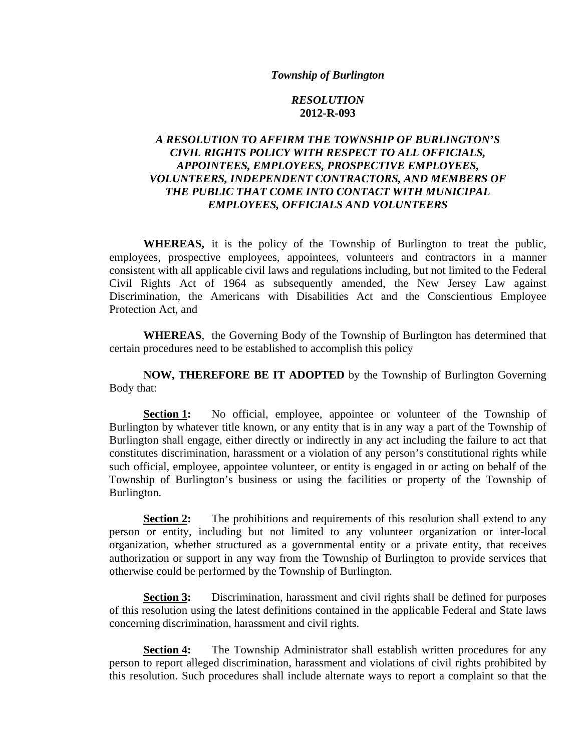## *Township of Burlington*

## *RESOLUTION*  **2012-R-093**

## *A RESOLUTION TO AFFIRM THE TOWNSHIP OF BURLINGTON'S CIVIL RIGHTS POLICY WITH RESPECT TO ALL OFFICIALS, APPOINTEES, EMPLOYEES, PROSPECTIVE EMPLOYEES, VOLUNTEERS, INDEPENDENT CONTRACTORS, AND MEMBERS OF THE PUBLIC THAT COME INTO CONTACT WITH MUNICIPAL EMPLOYEES, OFFICIALS AND VOLUNTEERS*

**WHEREAS,** it is the policy of the Township of Burlington to treat the public, employees, prospective employees, appointees, volunteers and contractors in a manner consistent with all applicable civil laws and regulations including, but not limited to the Federal Civil Rights Act of 1964 as subsequently amended, the New Jersey Law against Discrimination, the Americans with Disabilities Act and the Conscientious Employee Protection Act, and

**WHEREAS**, the Governing Body of the Township of Burlington has determined that certain procedures need to be established to accomplish this policy

**NOW, THEREFORE BE IT ADOPTED** by the Township of Burlington Governing Body that:

**Section 1:** No official, employee, appointee or volunteer of the Township of Burlington by whatever title known, or any entity that is in any way a part of the Township of Burlington shall engage, either directly or indirectly in any act including the failure to act that constitutes discrimination, harassment or a violation of any person's constitutional rights while such official, employee, appointee volunteer, or entity is engaged in or acting on behalf of the Township of Burlington's business or using the facilities or property of the Township of Burlington.

**Section 2:** The prohibitions and requirements of this resolution shall extend to any person or entity, including but not limited to any volunteer organization or inter-local organization, whether structured as a governmental entity or a private entity, that receives authorization or support in any way from the Township of Burlington to provide services that otherwise could be performed by the Township of Burlington.

**Section 3:** Discrimination, harassment and civil rights shall be defined for purposes of this resolution using the latest definitions contained in the applicable Federal and State laws concerning discrimination, harassment and civil rights.

**Section 4:** The Township Administrator shall establish written procedures for any person to report alleged discrimination, harassment and violations of civil rights prohibited by this resolution. Such procedures shall include alternate ways to report a complaint so that the